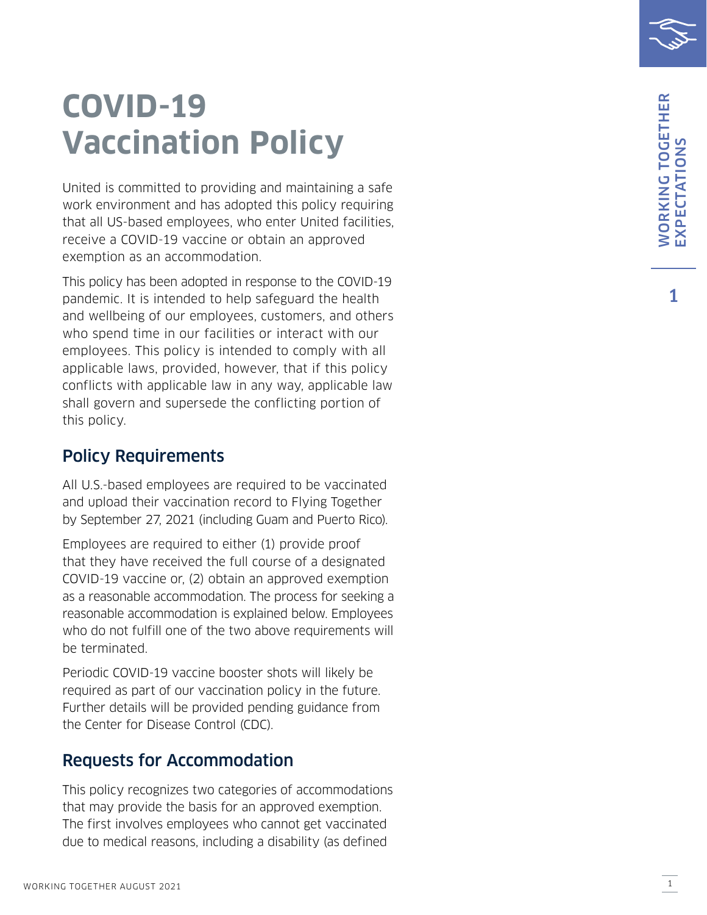## **COVID-19 Vaccination Policy**

United is committed to providing and maintaining a safe work environment and has adopted this policy requiring that all US-based employees, who enter United facilities, receive a COVID-19 vaccine or obtain an approved exemption as an accommodation.

This policy has been adopted in response to the COVID-19 pandemic. It is intended to help safeguard the health and wellbeing of our employees, customers, and others who spend time in our facilities or interact with our employees. This policy is intended to comply with all applicable laws, provided, however, that if this policy conflicts with applicable law in any way, applicable law shall govern and supersede the conflicting portion of this policy.

## Policy Requirements

All U.S.-based employees are required to be vaccinated and upload their vaccination record to Flying Together by September 27, 2021 (including Guam and Puerto Rico).

Employees are required to either (1) provide proof that they have received the full course of a designated COVID-19 vaccine or, (2) obtain an approved exemption as a reasonable accommodation. The process for seeking a reasonable accommodation is explained below. Employees who do not fulfill one of the two above requirements will be terminated.

Periodic COVID-19 vaccine booster shots will likely be required as part of our vaccination policy in the future. Further details will be provided pending guidance from the Center for Disease Control (CDC).

## Requests for Accommodation

This policy recognizes two categories of accommodations that may provide the basis for an approved exemption. The first involves employees who cannot get vaccinated due to medical reasons, including a disability (as defined